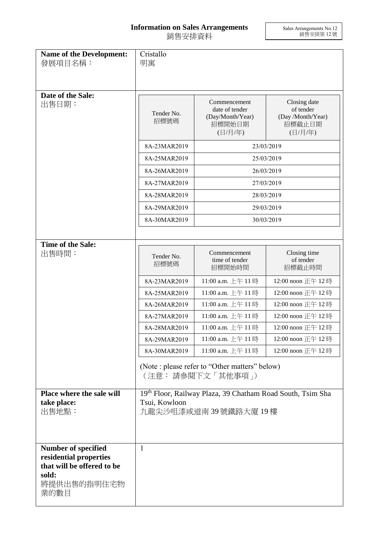## **Information on Sales Arrangements** 銷售安排資料

Sales Arrangements No.12 銷售安排第 12 號

| <b>Name of the Development:</b><br>發展項目名稱:                                                                         | Cristallo<br>明寓                                                                                    |                                                                         |                                                                     |  |
|--------------------------------------------------------------------------------------------------------------------|----------------------------------------------------------------------------------------------------|-------------------------------------------------------------------------|---------------------------------------------------------------------|--|
|                                                                                                                    |                                                                                                    |                                                                         |                                                                     |  |
| Date of the Sale:<br>出售日期:                                                                                         | Tender No.<br>招標號碼                                                                                 | Commencement<br>date of tender<br>(Day/Month/Year)<br>招標開始日期<br>(日/月/年) | Closing date<br>of tender<br>(Day /Month/Year)<br>招標截止日期<br>(日/月/年) |  |
|                                                                                                                    | 8A-23MAR2019                                                                                       | 23/03/2019                                                              |                                                                     |  |
|                                                                                                                    | 8A-25MAR2019                                                                                       | 25/03/2019                                                              |                                                                     |  |
|                                                                                                                    | 8A-26MAR2019                                                                                       | 26/03/2019                                                              |                                                                     |  |
|                                                                                                                    | 8A-27MAR2019                                                                                       | 27/03/2019                                                              |                                                                     |  |
|                                                                                                                    | 8A-28MAR2019                                                                                       |                                                                         | 28/03/2019                                                          |  |
|                                                                                                                    | 8A-29MAR2019                                                                                       |                                                                         | 29/03/2019                                                          |  |
|                                                                                                                    | 8A-30MAR2019                                                                                       |                                                                         | 30/03/2019                                                          |  |
|                                                                                                                    |                                                                                                    |                                                                         |                                                                     |  |
| Time of the Sale:<br>出售時間:                                                                                         | Tender No.<br>招標號碼                                                                                 | Commencement<br>time of tender<br>招標開始時間                                | Closing time<br>of tender<br>招標截止時間                                 |  |
|                                                                                                                    | 8A-23MAR2019                                                                                       | 11:00 a.m. 上午 11時                                                       | 12:00 noon 正午 12時                                                   |  |
|                                                                                                                    | 8A-25MAR2019                                                                                       | 11:00 a.m. 上午 11時                                                       | 12:00 noon 正午 12時                                                   |  |
|                                                                                                                    | 8A-26MAR2019                                                                                       | 11:00 a.m. 上午 11時                                                       | 12:00 noon 正午 12時                                                   |  |
|                                                                                                                    | 8A-27MAR2019                                                                                       | 11:00 a.m. 上午11時                                                        | 12:00 noon 正午 12時                                                   |  |
|                                                                                                                    | 8A-28MAR2019                                                                                       | 11:00 a.m. 上午 11時                                                       | 12:00 noon 正午 12時                                                   |  |
|                                                                                                                    | 8A-29MAR2019                                                                                       | 11:00 a.m. 上午 11時                                                       | 12:00 noon 正午 12時                                                   |  |
|                                                                                                                    | 8A-30MAR2019                                                                                       | 11:00 a.m. 上午 11時                                                       | 12:00 noon 正午 12時                                                   |  |
|                                                                                                                    | (Note : please refer to "Other matters" below)<br>(注意: 請參閱下文「其他事項」)                                |                                                                         |                                                                     |  |
| Place where the sale will<br>take place:<br>出售地點:                                                                  | 19th Floor, Railway Plaza, 39 Chatham Road South, Tsim Sha<br>Tsui, Kowloon<br>九龍尖沙咀漆咸道南39號鐵路大廈19樓 |                                                                         |                                                                     |  |
| <b>Number of specified</b><br>residential properties<br>that will be offered to be<br>sold:<br>將提供出售的指明住宅物<br>業的數目 | 1                                                                                                  |                                                                         |                                                                     |  |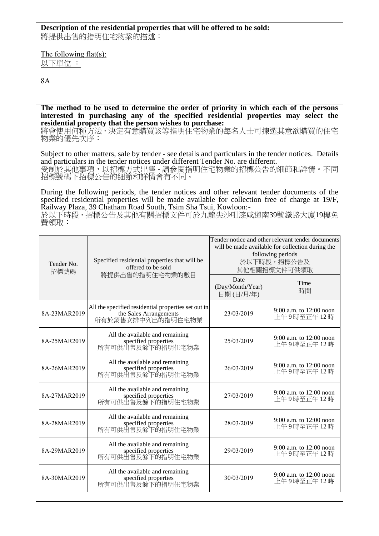## **Description of the residential properties that will be offered to be sold:**

將提供出售的指明住宅物業的描述:

The following flat(s): 以下單位 :

8A

**The method to be used to determine the order of priority in which each of the persons interested in purchasing any of the specified residential properties may select the residential property that the person wishes to purchase:** 

將會使用何種方法,決定有意購買該等指明住宅物業的每名人士可揀選其意欲購買的住宅 物業的優先次序:

Subject to other matters, sale by tender - see details and particulars in the tender notices. Details and particulars in the tender notices under different Tender No. are different. 受制於其他事項,以招標方式出售 - 請參閱指明住宅物業的招標公告的細節和詳情。不同 招標號碼下招標公告的細節和詳情會有不同。

During the following periods, the tender notices and other relevant tender documents of the specified residential properties will be made available for collection free of charge at 19/F. Railway Plaza, 39 Chatham Road South, Tsim Sha Tsui, Kowloon:-

於以下時段,招標公告及其他有關招標文件可於九龍尖沙咀漆咸道南39號鐵路大廈19樓免 費領取:

| Tender No.<br>招標號碼 | Specified residential properties that will be<br>offered to be sold<br>將提供出售的指明住宅物業的數目             | Tender notice and other relevant tender documents<br>will be made available for collection during the<br>following periods<br>於以下時段,招標公告及<br>其他相關招標文件可供領取 |                                         |
|--------------------|----------------------------------------------------------------------------------------------------|-----------------------------------------------------------------------------------------------------------------------------------------------------------|-----------------------------------------|
|                    |                                                                                                    | Date<br>(Day/Month/Year)<br>日期(日/月/年)                                                                                                                     | Time<br>時間                              |
| 8A-23MAR2019       | All the specified residential properties set out in<br>the Sales Arrangements<br>所有於銷售安排中列出的指明住宅物業 | 23/03/2019                                                                                                                                                | 9:00 a.m. to $12:00$ noon<br>上午9時至正午12時 |
| 8A-25MAR2019       | All the available and remaining<br>specified properties<br>所有可供出售及餘下的指明住宅物業                        | 25/03/2019                                                                                                                                                | 9:00 a.m. to 12:00 noon<br>上午9時至正午12時   |
| 8A-26MAR2019       | All the available and remaining<br>specified properties<br>所有可供出售及餘下的指明住宅物業                        | 26/03/2019                                                                                                                                                | 9:00 a.m. to 12:00 noon<br>上午9時至正午12時   |
| 8A-27MAR2019       | All the available and remaining<br>specified properties<br>所有可供出售及餘下的指明住宅物業                        | 27/03/2019                                                                                                                                                | 9:00 a.m. to 12:00 noon<br>上午9時至正午12時   |
| 8A-28MAR2019       | All the available and remaining<br>specified properties<br>所有可供出售及餘下的指明住宅物業                        | 28/03/2019                                                                                                                                                | 9:00 a.m. to 12:00 noon<br>上午9時至正午12時   |
| 8A-29MAR2019       | All the available and remaining<br>specified properties<br>所有可供出售及餘下的指明住宅物業                        | 29/03/2019                                                                                                                                                | 9:00 a.m. to 12:00 noon<br>上午9時至正午12時   |
| 8A-30MAR2019       | All the available and remaining<br>specified properties<br>所有可供出售及餘下的指明住宅物業                        | 30/03/2019                                                                                                                                                | 9:00 a.m. to 12:00 noon<br>上午9時至正午12時   |